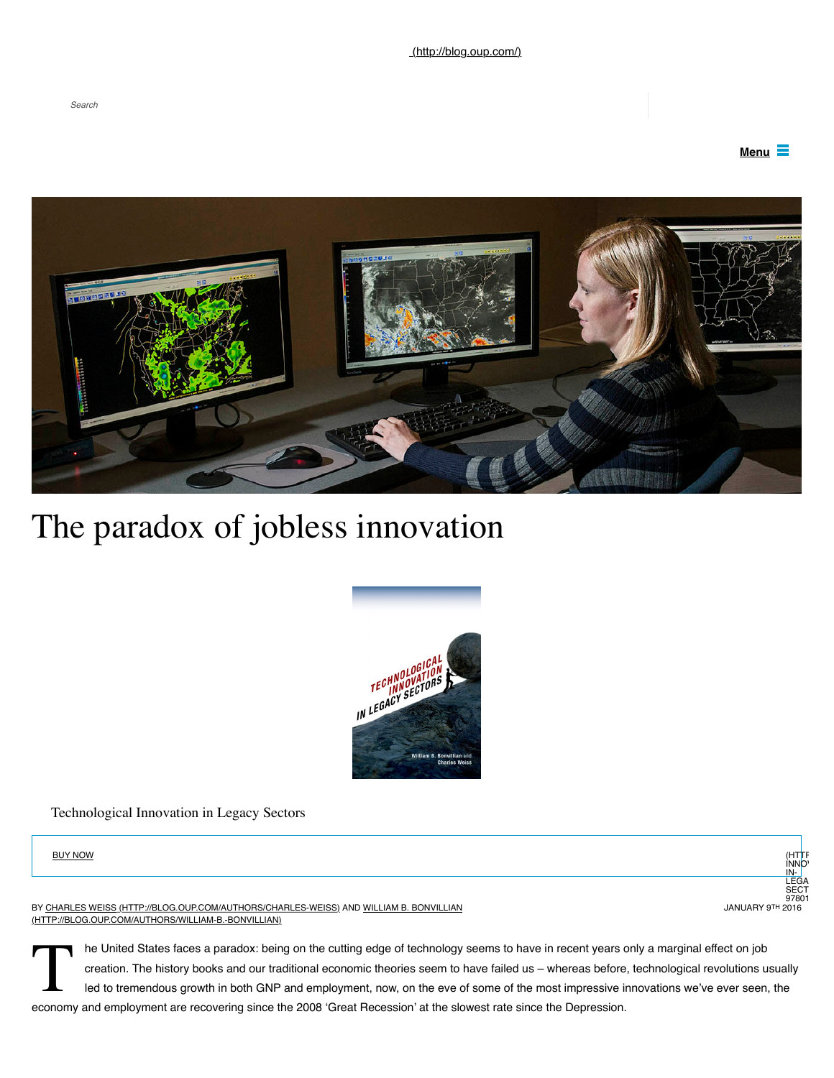



# The paradox of jobless innovation



Technological Innovation in Legacy Sectors



[BY](http://blog.oup.com/authors/william-b.-bonvillian) [CHARLES WEISS \(HTTP://BLOG.OUP.COM/AUTHORS/CHARLES-WEISS\)](http://blog.oup.com/authors/charles-weiss) [AND WILLIAM B. BONVILLIAN](http://blog.oup.com/authors/william-b.-bonvillian) (HTTP://BLOG.OUP.COM/AUTHORS/WILLIAM-B.-BONVILLIAN)

The United States faces a paradox: being on the cutting edge of technology seems to have in recent years of creation. The history books and our traditional economic theories seem to have failed us – whereas before led to t he United States faces a paradox: being on the cutting edge of technology seems to have in recent years only a marginal effect on job creation. The history books and our traditional economic theories seem to have failed us – whereas before, technological revolutions usually led to tremendous growth in both GNP and employment, now, on the eve of some of the most impressive innovations we've ever seen, the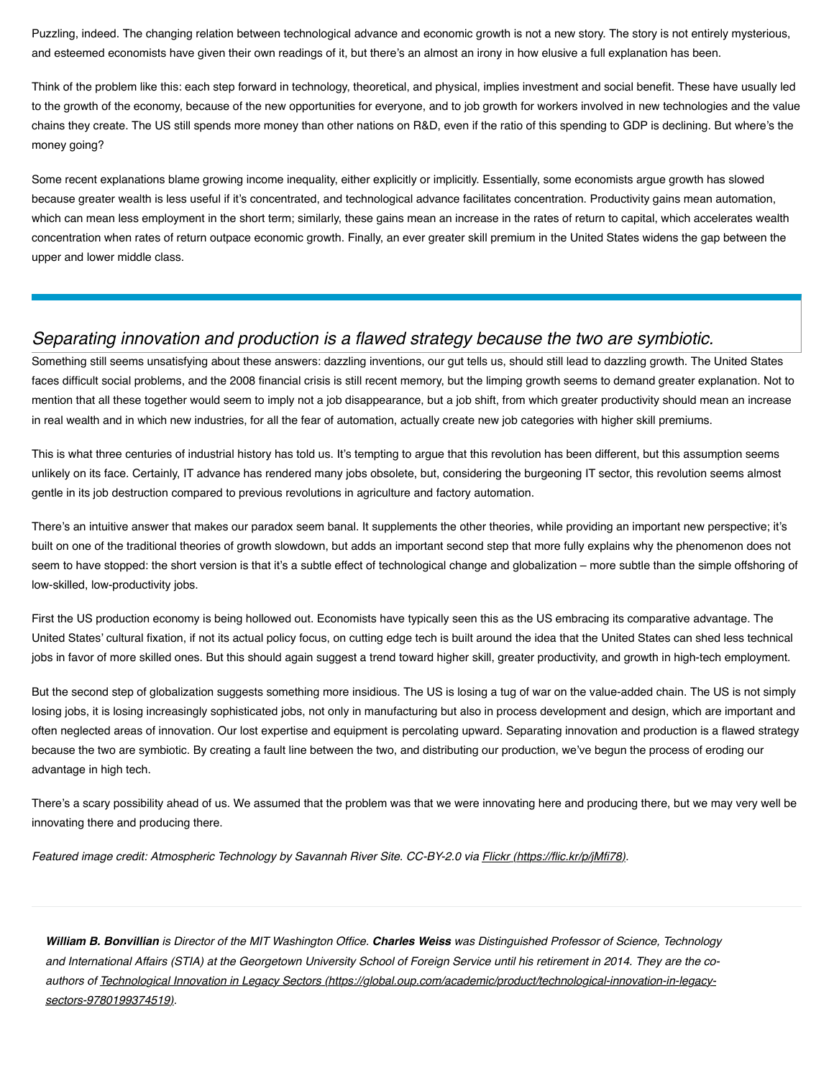Puzzling, indeed. The changing relation between technological advance and economic growth is not a new story. The story is not entirely mysterious, and esteemed economists have given their own readings of it, but there's an almost an irony in how elusive a full explanation has been.

Think of the problem like this: each step forward in technology, theoretical, and physical, implies investment and social benefit. These have usually led to the growth of the economy, because of the new opportunities for everyone, and to job growth for workers involved in new technologies and the value chains they create. The US still spends more money than other nations on R&D, even if the ratio of this spending to GDP is declining. But where's the money going?

Some recent explanations blame growing income inequality, either explicitly or implicitly. Essentially, some economists argue growth has slowed because greater wealth is less useful if it's concentrated, and technological advance facilitates concentration. Productivity gains mean automation, which can mean less employment in the short term; similarly, these gains mean an increase in the rates of return to capital, which accelerates wealth concentration when rates of return outpace economic growth. Finally, an ever greater skill premium in the United States widens the gap between the upper and lower middle class.

# *Separating innovation and production is a flawed strategy because the two are symbiotic.*

Something still seems unsatisfying about these answers: dazzling inventions, our gut tells us, should still lead to dazzling growth. The United States faces difficult social problems, and the 2008 financial crisis is still recent memory, but the limping growth seems to demand greater explanation. Not to mention that all these together would seem to imply not a job disappearance, but a job shift, from which greater productivity should mean an increase in real wealth and in which new industries, for all the fear of automation, actually create new job categories with higher skill premiums.

This is what three centuries of industrial history has told us. It's tempting to argue that this revolution has been different, but this assumption seems unlikely on its face. Certainly, IT advance has rendered many jobs obsolete, but, considering the burgeoning IT sector, this revolution seems almost gentle in its job destruction compared to previous revolutions in agriculture and factory automation.

There's an intuitive answer that makes our paradox seem banal. It supplements the other theories, while providing an important new perspective; it's built on one of the traditional theories of growth slowdown, but adds an important second step that more fully explains why the phenomenon does not seem to have stopped: the short version is that it's a subtle effect of technological change and globalization – more subtle than the simple offshoring of low-skilled, low-productivity jobs.

First the US production economy is being hollowed out. Economists have typically seen this as the US embracing its comparative advantage. The United States' cultural fixation, if not its actual policy focus, on cutting edge tech is built around the idea that the United States can shed less technical jobs in favor of more skilled ones. But this should again suggest a trend toward higher skill, greater productivity, and growth in high-tech employment.

But the second step of globalization suggests something more insidious. The US is losing a tug of war on the value-added chain. The US is not simply losing jobs, it is losing increasingly sophisticated jobs, not only in manufacturing but also in process development and design, which are important and often neglected areas of innovation. Our lost expertise and equipment is percolating upward. Separating innovation and production is a flawed strategy because the two are symbiotic. By creating a fault line between the two, and distributing our production, we've begun the process of eroding our advantage in high tech.

There's a scary possibility ahead of us. We assumed that the problem was that we were innovating here and producing there, but we may very well be innovating there and producing there.

*Featured image credit: Atmospheric Technology by Savannah River Site. CC-BY-2.0 via <i>[Flickr \(https://flic.kr/p/jMfi78\).](https://flic.kr/p/jMfi78)* 

*William B. Bonvillian is Director of the MIT Washington Office. Charles Weiss was Distinguished Professor of Science, Technology and International Affairs (STIA) at the Georgetown University School of Foreign Service until his retirement in 2014. They are the co[authors of Technological Innovation in Legacy Sectors \(https://global.oup.com/academic/product/technological-innovation-in-legacy](https://global.oup.com/academic/product/technological-innovation-in-legacy-sectors-9780199374519)sectors-9780199374519).*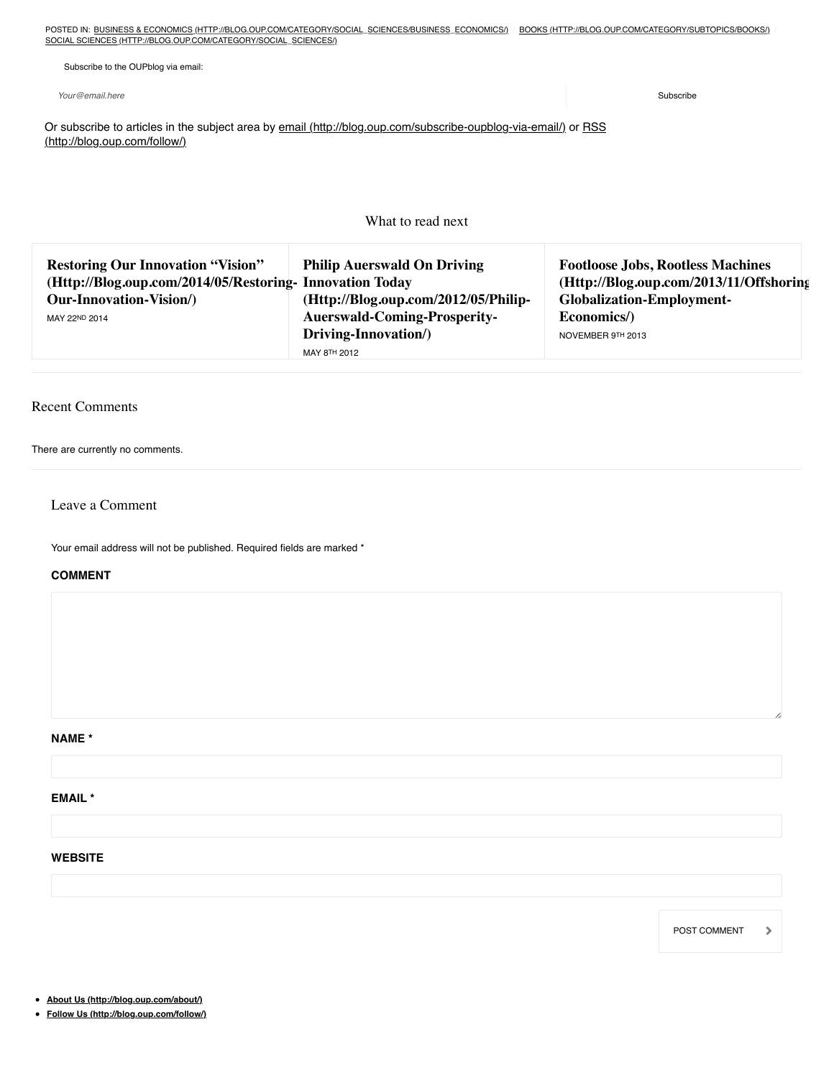POSTED IN: [BUSINESS & ECONOMICS \(HTTP://BLOG.OUP.COM/CATEGORY/SOCIAL\\_SCIENCES/BUSINESS\\_ECONOMICS/\)](http://blog.oup.com/category/social_sciences/business_economics/) / [BOOKS \(HTTP://BLOG.OUP.COM/CATEGORY/SUBTOPICS/BOOKS/\)](http://blog.oup.com/category/subtopics/books/) [SOCIAL SCIENCES \(HTTP://BLOG.OUP.COM/CATEGORY/SOCIAL\\_SCIENCES/\)](http://blog.oup.com/category/social_sciences/)

Subscribe to the OUPblog via email:

*Your@email.here* Subscribe

[Or subscribe to articles in the subject area by](http://blog.oup.com/follow/) [email \(http://blog.oup.com/subscribe-oupblog-via-email/\)](http://blog.oup.com/subscribe-oupblog-via-email/) [or RSS](http://blog.oup.com/follow/) (http://blog.oup.com/follow/)

What to read next

| <b>Restoring Our Innovation "Vision"</b><br>(Http://Blog.oup.com/2014/05/Restoring-Innovation Today | <b>Philip Auerswald On Driving</b>   | <b>Footloose Jobs, Rootless Machines</b><br>(Http://Blog.oup.com/2013/11/Offshoring |
|-----------------------------------------------------------------------------------------------------|--------------------------------------|-------------------------------------------------------------------------------------|
| <b>Our-Innovation-Vision/)</b>                                                                      | (Http://Blog.oup.com/2012/05/Philip- | <b>Globalization-Employment-</b>                                                    |
| MAY 22ND 2014                                                                                       | <b>Auerswald-Coming-Prosperity-</b>  | Economics/)                                                                         |
|                                                                                                     | Driving-Innovation/)                 | NOVEMBER 9TH 2013                                                                   |
|                                                                                                     | MAY 8TH 2012                         |                                                                                     |

## Recent Comments

There are currently no comments.

### Leave a Comment

Your email address will not be published. Required fields are marked \*

#### **COMMENT**

**NAME \***

**EMAIL \***

**WEBSITE**

POST COMMENT $\mathbf{\hat{}}$ 

**[About Us \(http://blog.oup.com/about/\)](http://blog.oup.com/about/)**

**[Follow Us \(http://blog.oup.com/follow/\)](http://blog.oup.com/follow/)**